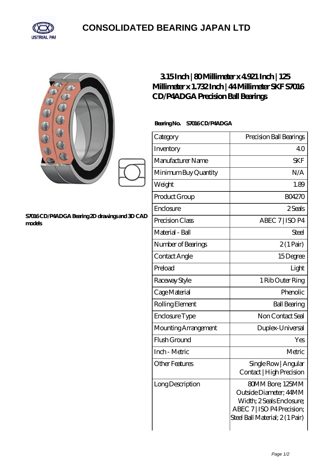

## **[CONSOLIDATED BEARING JAPAN LTD](https://m.psp11.de)**

| S7016CD/P4ADGA Bearing 2D drawings and 3D CAD<br>models | 315Inch   80Millimeter x 4921 Inch   125<br>Millimeter x 1.732 Inch   44 Millimeter SKF S7016<br>CD/P4ADGA Precision Ball Bearings |                                                                                                                                         |  |
|---------------------------------------------------------|------------------------------------------------------------------------------------------------------------------------------------|-----------------------------------------------------------------------------------------------------------------------------------------|--|
|                                                         | Bearing No. S7016CD/P4ADGA                                                                                                         |                                                                                                                                         |  |
|                                                         | Category                                                                                                                           | Precision Ball Bearings                                                                                                                 |  |
|                                                         | Inventory                                                                                                                          | 40                                                                                                                                      |  |
|                                                         | Manufacturer Name                                                                                                                  | <b>SKF</b>                                                                                                                              |  |
|                                                         | Minimum Buy Quantity                                                                                                               | N/A                                                                                                                                     |  |
|                                                         | Weight                                                                                                                             | 1.89                                                                                                                                    |  |
|                                                         | Product Group                                                                                                                      | <b>BO4270</b>                                                                                                                           |  |
|                                                         | Enclosure                                                                                                                          | 2Seals                                                                                                                                  |  |
|                                                         | Precision Class                                                                                                                    | ABEC 7   ISO P4                                                                                                                         |  |
|                                                         | Material - Ball                                                                                                                    | Steel                                                                                                                                   |  |
|                                                         | Number of Bearings                                                                                                                 | $2(1 \text{Pair})$                                                                                                                      |  |
|                                                         | Contact Angle                                                                                                                      | 15Degree                                                                                                                                |  |
|                                                         | Preload                                                                                                                            | Light                                                                                                                                   |  |
|                                                         | Raceway Style                                                                                                                      | 1 Rib Outer Ring                                                                                                                        |  |
|                                                         | Cage Material                                                                                                                      | Phenolic                                                                                                                                |  |
|                                                         | Rolling Element                                                                                                                    | <b>Ball Bearing</b>                                                                                                                     |  |
|                                                         | Enclosure Type                                                                                                                     | Non Contact Seal                                                                                                                        |  |
|                                                         | Mounting Arrangement                                                                                                               | Duplex-Universal                                                                                                                        |  |
|                                                         | Flush Ground                                                                                                                       | Yes                                                                                                                                     |  |
|                                                         | Inch - Metric                                                                                                                      | Metric                                                                                                                                  |  |
|                                                         | <b>Other Features</b>                                                                                                              | Single Row   Angular<br>Contact   High Precision                                                                                        |  |
|                                                         | Long Description                                                                                                                   | 80MM Bore; 125MM<br>Outside Diameter; 44MM<br>Width; 2 Seals Enclosure;<br>ABEC 7   ISO P4 Precision;<br>Steel Ball Material; 2(1 Pair) |  |